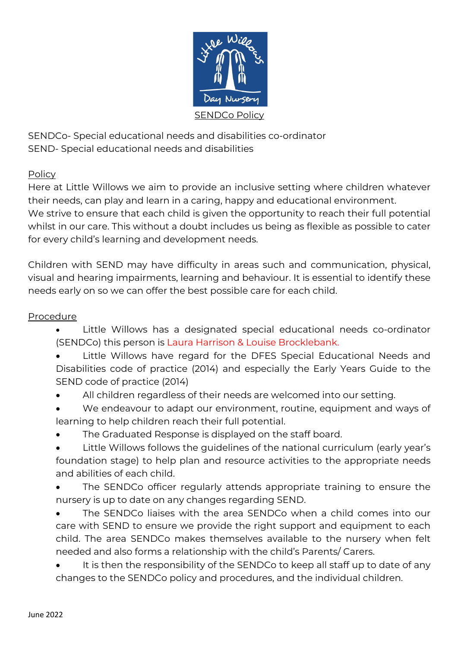

SENDCo- Special educational needs and disabilities co-ordinator SEND- Special educational needs and disabilities

## Policy

Here at Little Willows we aim to provide an inclusive setting where children whatever their needs, can play and learn in a caring, happy and educational environment. We strive to ensure that each child is given the opportunity to reach their full potential whilst in our care. This without a doubt includes us being as flexible as possible to cater for every child's learning and development needs.

Children with SEND may have difficulty in areas such and communication, physical, visual and hearing impairments, learning and behaviour. It is essential to identify these needs early on so we can offer the best possible care for each child.

## Procedure

- Little Willows has a designated special educational needs co-ordinator (SENDCo) this person is Laura Harrison & Louise Brocklebank.
- Little Willows have regard for the DFES Special Educational Needs and Disabilities code of practice (2014) and especially the Early Years Guide to the SEND code of practice (2014)
- All children regardless of their needs are welcomed into our setting.
- We endeavour to adapt our environment, routine, equipment and ways of learning to help children reach their full potential.
- The Graduated Response is displayed on the staff board.
- Little Willows follows the guidelines of the national curriculum (early year's foundation stage) to help plan and resource activities to the appropriate needs and abilities of each child.
- The SENDCo officer regularly attends appropriate training to ensure the nursery is up to date on any changes regarding SEND.
- The SENDCo liaises with the area SENDCo when a child comes into our care with SEND to ensure we provide the right support and equipment to each child. The area SENDCo makes themselves available to the nursery when felt needed and also forms a relationship with the child's Parents/ Carers.
- It is then the responsibility of the SENDCo to keep all staff up to date of any changes to the SENDCo policy and procedures, and the individual children.